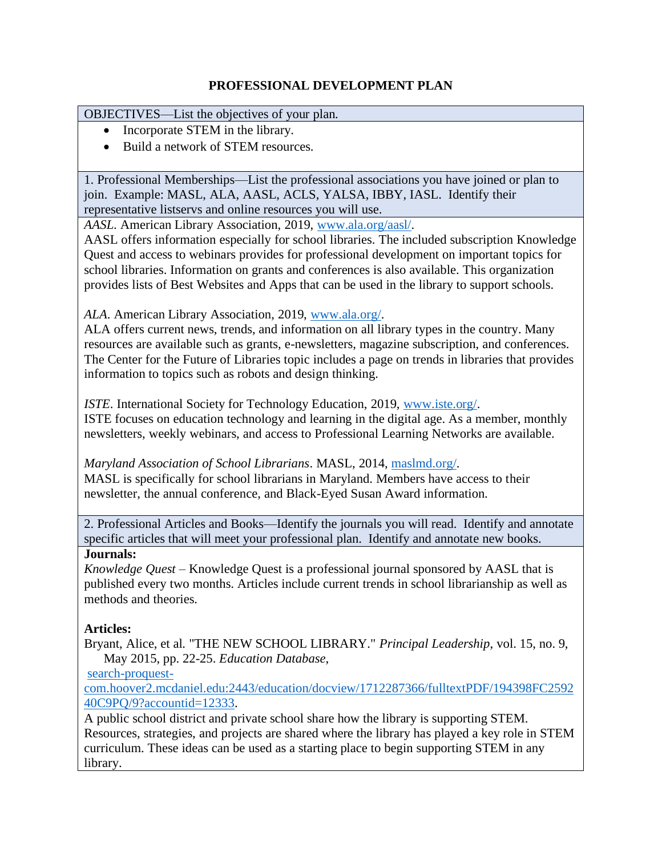## **PROFESSIONAL DEVELOPMENT PLAN**

OBJECTIVES—List the objectives of your plan.

- Incorporate STEM in the library.
- Build a network of STEM resources.

1. Professional Memberships—List the professional associations you have joined or plan to join. Example: MASL, ALA, AASL, ACLS, YALSA, IBBY, IASL. Identify their representative listservs and online resources you will use.

*AASL*. American Library Association, 2019, [www.ala.org/aasl/.](http://www.ala.org/aasl/)

AASL offers information especially for school libraries. The included subscription Knowledge Quest and access to webinars provides for professional development on important topics for school libraries. Information on grants and conferences is also available. This organization provides lists of Best Websites and Apps that can be used in the library to support schools.

*ALA*. American Library Association, 2019, [www.ala.org/.](http://www.ala.org/)

ALA offers current news, trends, and information on all library types in the country. Many resources are available such as grants, e-newsletters, magazine subscription, and conferences. The Center for the Future of Libraries topic includes a page on trends in libraries that provides information to topics such as robots and design thinking.

*ISTE*. International Society for Technology Education, 2019, [www.iste.org/.](http://www.iste.org/) ISTE focuses on education technology and learning in the digital age. As a member, monthly newsletters, weekly webinars, and access to Professional Learning Networks are available.

*Maryland Association of School Librarians*. MASL, 2014, [maslmd.org/.](https://maslmd.org/) MASL is specifically for school librarians in Maryland. Members have access to their newsletter, the annual conference, and Black-Eyed Susan Award information.

2. Professional Articles and Books—Identify the journals you will read. Identify and annotate specific articles that will meet your professional plan. Identify and annotate new books.

### **Journals:**

*Knowledge Quest* – Knowledge Quest is a professional journal sponsored by AASL that is published every two months. Articles include current trends in school librarianship as well as methods and theories.

### **Articles:**

Bryant, Alice, et al. "THE NEW SCHOOL LIBRARY." *Principal Leadership*, vol. 15, no. 9, May 2015, pp. 22-25. *Education Database*,

[search-proquest-](https://search-proquest-com.hoover2.mcdaniel.edu:2443/education/docview/1712287366/fulltextPDF/194398FC259240C9PQ/9?accountid=12333)

[com.hoover2.mcdaniel.edu:2443/education/docview/1712287366/fulltextPDF/194398FC2592](https://search-proquest-com.hoover2.mcdaniel.edu:2443/education/docview/1712287366/fulltextPDF/194398FC259240C9PQ/9?accountid=12333) [40C9PQ/9?accountid=12333.](https://search-proquest-com.hoover2.mcdaniel.edu:2443/education/docview/1712287366/fulltextPDF/194398FC259240C9PQ/9?accountid=12333)

A public school district and private school share how the library is supporting STEM. Resources, strategies, and projects are shared where the library has played a key role in STEM curriculum. These ideas can be used as a starting place to begin supporting STEM in any library.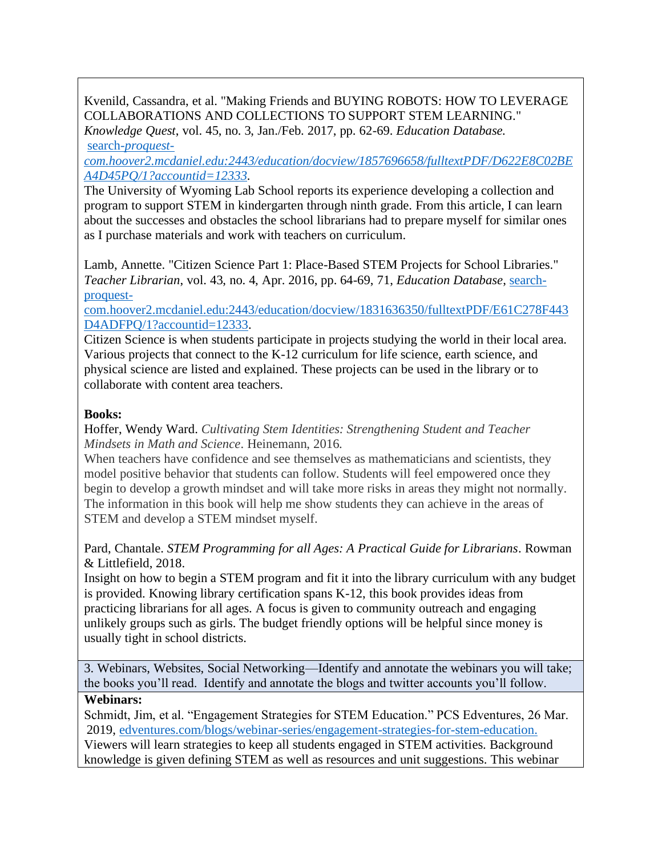Kvenild, Cassandra, et al. "Making Friends and BUYING ROBOTS: HOW TO LEVERAGE COLLABORATIONS AND COLLECTIONS TO SUPPORT STEM LEARNING." *Knowledge Quest*, vol. 45, no. 3, Jan./Feb. 2017, pp. 62-69. *Education Database.* search*[-proquest-](https://search-proquest-com.hoover2.mcdaniel.edu:2443/education/docview/1857696658/fulltextPDF/D622E8C02BEA4D45PQ/1?accountid=12333)*

*[com.hoover2.mcdaniel.edu:2443/education/docview/1857696658/fulltextPDF/D622E8C02BE](https://search-proquest-com.hoover2.mcdaniel.edu:2443/education/docview/1857696658/fulltextPDF/D622E8C02BEA4D45PQ/1?accountid=12333) [A4D45PQ/1?accountid=12333.](https://search-proquest-com.hoover2.mcdaniel.edu:2443/education/docview/1857696658/fulltextPDF/D622E8C02BEA4D45PQ/1?accountid=12333)* 

The University of Wyoming Lab School reports its experience developing a collection and program to support STEM in kindergarten through ninth grade. From this article, I can learn about the successes and obstacles the school librarians had to prepare myself for similar ones as I purchase materials and work with teachers on curriculum.

Lamb, Annette. "Citizen Science Part 1: Place-Based STEM Projects for School Libraries." *Teacher Librarian*, vol. 43, no. 4, Apr. 2016, pp. 64-69, 71, *Education Database*, [search](https://search-proquest-com.hoover2.mcdaniel.edu:2443/education/docview/1831636350/fulltextPDF/E61C278F443D4ADFPQ/1?accountid=12333)[proquest-](https://search-proquest-com.hoover2.mcdaniel.edu:2443/education/docview/1831636350/fulltextPDF/E61C278F443D4ADFPQ/1?accountid=12333)

[com.hoover2.mcdaniel.edu:2443/education/docview/1831636350/fulltextPDF/E61C278F443](https://search-proquest-com.hoover2.mcdaniel.edu:2443/education/docview/1831636350/fulltextPDF/E61C278F443D4ADFPQ/1?accountid=12333) [D4ADFPQ/1?accountid=12333.](https://search-proquest-com.hoover2.mcdaniel.edu:2443/education/docview/1831636350/fulltextPDF/E61C278F443D4ADFPQ/1?accountid=12333)

Citizen Science is when students participate in projects studying the world in their local area. Various projects that connect to the K-12 curriculum for life science, earth science, and physical science are listed and explained. These projects can be used in the library or to collaborate with content area teachers.

### **Books:**

Hoffer, Wendy Ward. *Cultivating Stem Identities: Strengthening Student and Teacher Mindsets in Math and Science*. Heinemann, 2016.

When teachers have confidence and see themselves as mathematicians and scientists, they model positive behavior that students can follow. Students will feel empowered once they begin to develop a growth mindset and will take more risks in areas they might not normally. The information in this book will help me show students they can achieve in the areas of STEM and develop a STEM mindset myself.

Pard, Chantale. *STEM Programming for all Ages: A Practical Guide for Librarians*. Rowman & Littlefield, 2018.

Insight on how to begin a STEM program and fit it into the library curriculum with any budget is provided. Knowing library certification spans K-12, this book provides ideas from practicing librarians for all ages. A focus is given to community outreach and engaging unlikely groups such as girls. The budget friendly options will be helpful since money is usually tight in school districts.

3. Webinars, Websites, Social Networking—Identify and annotate the webinars you will take; the books you'll read. Identify and annotate the blogs and twitter accounts you'll follow.

### **Webinars:**

Schmidt, Jim, et al. "Engagement Strategies for STEM Education." PCS Edventures, 26 Mar. 2019, [edventures.com/blogs/webinar-series/engagement-strategies-for-stem-education.](https://edventures.com/blogs/webinar-series/engagement-strategies-for-stem-education) Viewers will learn strategies to keep all students engaged in STEM activities. Background knowledge is given defining STEM as well as resources and unit suggestions. This webinar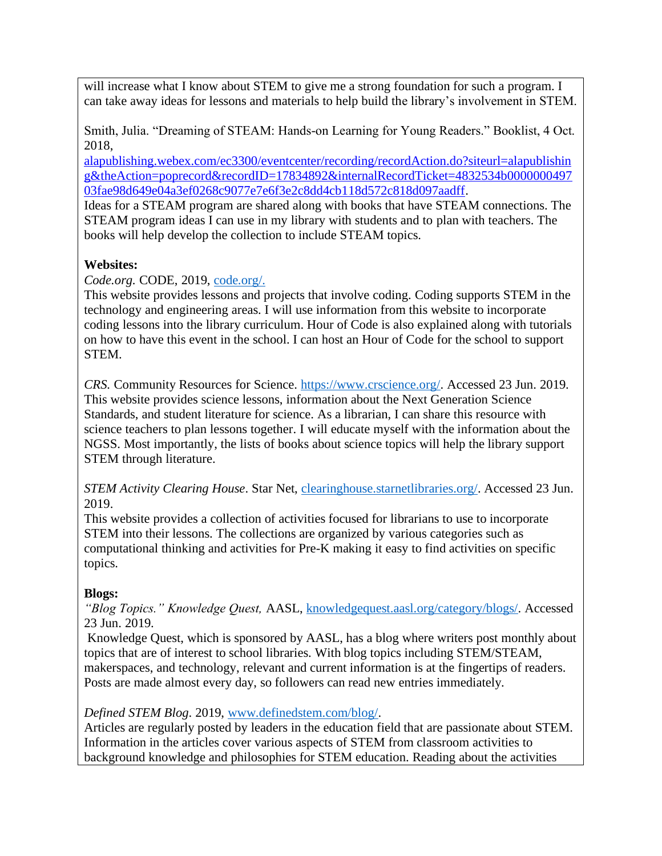will increase what I know about STEM to give me a strong foundation for such a program. I can take away ideas for lessons and materials to help build the library's involvement in STEM.

Smith, Julia. "Dreaming of STEAM: Hands-on Learning for Young Readers." Booklist, 4 Oct. 2018,

[alapublishing.webex.com/ec3300/eventcenter/recording/recordAction.do?siteurl=alapublishin](https://alapublishing.webex.com/ec3300/eventcenter/recording/recordAction.do?siteurl=alapublishing&theAction=poprecord&recordID=17834892&internalRecordTicket=4832534b000000049703fae98d649e04a3ef0268c9077e7e6f3e2c8dd4cb118d572c818d097aadff) [g&theAction=poprecord&recordID=17834892&internalRecordTicket=4832534b0000000497](https://alapublishing.webex.com/ec3300/eventcenter/recording/recordAction.do?siteurl=alapublishing&theAction=poprecord&recordID=17834892&internalRecordTicket=4832534b000000049703fae98d649e04a3ef0268c9077e7e6f3e2c8dd4cb118d572c818d097aadff) [03fae98d649e04a3ef0268c9077e7e6f3e2c8dd4cb118d572c818d097aadff.](https://alapublishing.webex.com/ec3300/eventcenter/recording/recordAction.do?siteurl=alapublishing&theAction=poprecord&recordID=17834892&internalRecordTicket=4832534b000000049703fae98d649e04a3ef0268c9077e7e6f3e2c8dd4cb118d572c818d097aadff)

Ideas for a STEAM program are shared along with books that have STEAM connections. The STEAM program ideas I can use in my library with students and to plan with teachers. The books will help develop the collection to include STEAM topics.

# **Websites:**

*Code.org.* CODE, 2019, [code.org/.](https://code.org/)

This website provides lessons and projects that involve coding. Coding supports STEM in the technology and engineering areas. I will use information from this website to incorporate coding lessons into the library curriculum. Hour of Code is also explained along with tutorials on how to have this event in the school. I can host an Hour of Code for the school to support STEM.

*CRS.* Community Resources for Science. [https://www.crscience.org/.](https://www.crscience.org/) Accessed 23 Jun. 2019. This website provides science lessons, information about the Next Generation Science Standards, and student literature for science. As a librarian, I can share this resource with science teachers to plan lessons together. I will educate myself with the information about the NGSS. Most importantly, the lists of books about science topics will help the library support STEM through literature.

*STEM Activity Clearing House*. Star Net, [clearinghouse.starnetlibraries.org/.](http://clearinghouse.starnetlibraries.org/) Accessed 23 Jun. 2019.

This website provides a collection of activities focused for librarians to use to incorporate STEM into their lessons. The collections are organized by various categories such as computational thinking and activities for Pre-K making it easy to find activities on specific topics.

# **Blogs:**

*"Blog Topics." Knowledge Quest,* AASL, [knowledgequest.aasl.org/category/blogs/.](https://knowledgequest.aasl.org/category/blogs/) Accessed 23 Jun. 2019.

Knowledge Quest, which is sponsored by AASL, has a blog where writers post monthly about topics that are of interest to school libraries. With blog topics including STEM/STEAM, makerspaces, and technology, relevant and current information is at the fingertips of readers. Posts are made almost every day, so followers can read new entries immediately.

# *Defined STEM Blog*. 2019, [www.definedstem.com/blog/.](http://www.definedstem.com/blog/)

Articles are regularly posted by leaders in the education field that are passionate about STEM. Information in the articles cover various aspects of STEM from classroom activities to background knowledge and philosophies for STEM education. Reading about the activities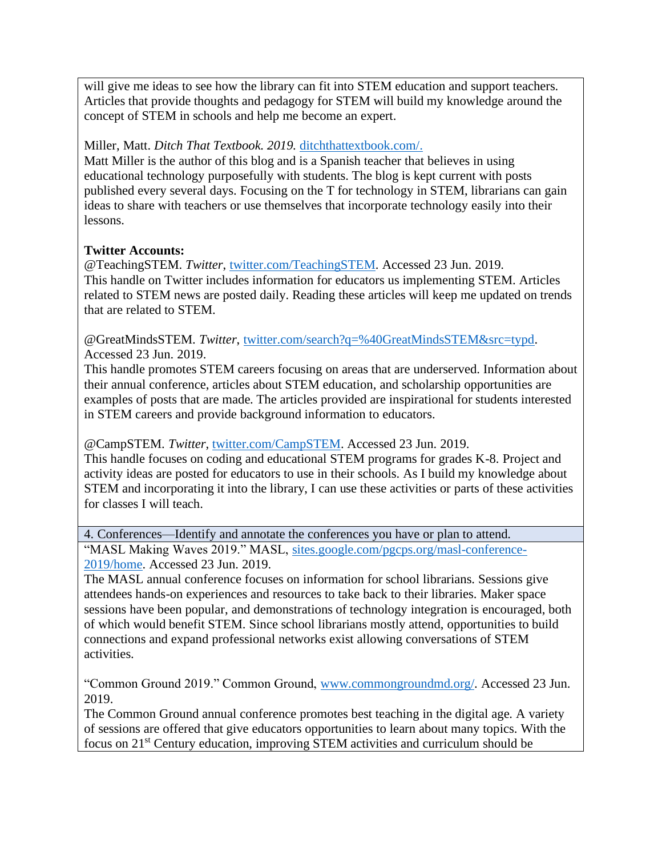will give me ideas to see how the library can fit into STEM education and support teachers. Articles that provide thoughts and pedagogy for STEM will build my knowledge around the concept of STEM in schools and help me become an expert.

## Miller, Matt. *Ditch That Textbook. 2019.* [ditchthattextbook.com/.](http://ditchthattextbook.com/)

Matt Miller is the author of this blog and is a Spanish teacher that believes in using educational technology purposefully with students. The blog is kept current with posts published every several days. Focusing on the T for technology in STEM, librarians can gain ideas to share with teachers or use themselves that incorporate technology easily into their lessons.

### **Twitter Accounts:**

@TeachingSTEM. *Twitter*, [twitter.com/TeachingSTEM.](https://twitter.com/TeachingSTEM) Accessed 23 Jun. 2019. This handle on Twitter includes information for educators us implementing STEM. Articles related to STEM news are posted daily. Reading these articles will keep me updated on trends that are related to STEM.

@GreatMindsSTEM. *Twitter*, [twitter.com/search?q=%40GreatMindsSTEM&src=typd.](https://twitter.com/search?q=%40GreatMindsSTEM&src=typd) Accessed 23 Jun. 2019.

This handle promotes STEM careers focusing on areas that are underserved. Information about their annual conference, articles about STEM education, and scholarship opportunities are examples of posts that are made. The articles provided are inspirational for students interested in STEM careers and provide background information to educators.

@CampSTEM. *Twitter*, [twitter.com/CampSTEM.](https://twitter.com/CampSTEM) Accessed 23 Jun. 2019. This handle focuses on coding and educational STEM programs for grades K-8. Project and activity ideas are posted for educators to use in their schools. As I build my knowledge about STEM and incorporating it into the library, I can use these activities or parts of these activities for classes I will teach.

4. Conferences—Identify and annotate the conferences you have or plan to attend.

"MASL Making Waves 2019." MASL, [sites.google.com/pgcps.org/masl-conference-](https://sites.google.com/pgcps.org/masl-conference-2019/home)[2019/home.](https://sites.google.com/pgcps.org/masl-conference-2019/home) Accessed 23 Jun. 2019.

The MASL annual conference focuses on information for school librarians. Sessions give attendees hands-on experiences and resources to take back to their libraries. Maker space sessions have been popular, and demonstrations of technology integration is encouraged, both of which would benefit STEM. Since school librarians mostly attend, opportunities to build connections and expand professional networks exist allowing conversations of STEM activities.

"Common Ground 2019." Common Ground, [www.commongroundmd.org/.](http://www.commongroundmd.org/) Accessed 23 Jun. 2019.

The Common Ground annual conference promotes best teaching in the digital age. A variety of sessions are offered that give educators opportunities to learn about many topics. With the focus on 21st Century education, improving STEM activities and curriculum should be